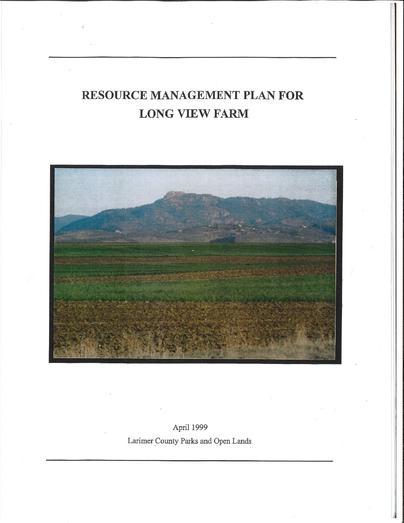# **RESOURCE MANAGEMENT PLAN FOR LONG VIEW FARM**



April 1999 Larimer County Parks and Open Lands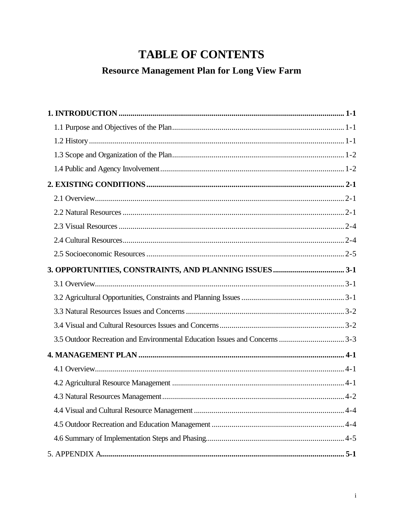# **TABLE OF CONTENTS**

# **Resource Management Plan for Long View Farm**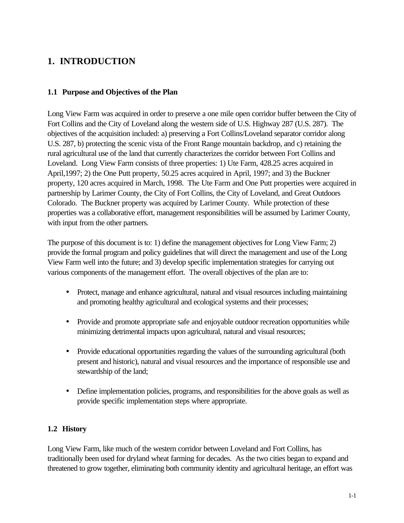### **1. INTRODUCTION**

#### **1.1 Purpose and Objectives of the Plan**

Long View Farm was acquired in order to preserve a one mile open corridor buffer between the City of Fort Collins and the City of Loveland along the western side of U.S. Highway 287 (U.S. 287). The objectives of the acquisition included: a) preserving a Fort Collins/Loveland separator corridor along U.S. 287, b) protecting the scenic vista of the Front Range mountain backdrop, and c) retaining the rural agricultural use of the land that currently characterizes the corridor between Fort Collins and Loveland. Long View Farm consists of three properties: 1) Ute Farm, 428.25 acres acquired in April,1997; 2) the One Putt property, 50.25 acres acquired in April, 1997; and 3) the Buckner property, 120 acres acquired in March, 1998. The Ute Farm and One Putt properties were acquired in partnership by Larimer County, the City of Fort Collins, the City of Loveland, and Great Outdoors Colorado. The Buckner property was acquired by Larimer County. While protection of these properties was a collaborative effort, management responsibilities will be assumed by Larimer County, with input from the other partners.

The purpose of this document is to: 1) define the management objectives for Long View Farm; 2) provide the formal program and policy guidelines that will direct the management and use of the Long View Farm well into the future; and 3) develop specific implementation strategies for carrying out various components of the management effort. The overall objectives of the plan are to:

- Protect, manage and enhance agricultural, natural and visual resources including maintaining and promoting healthy agricultural and ecological systems and their processes;
- Provide and promote appropriate safe and enjoyable outdoor recreation opportunities while minimizing detrimental impacts upon agricultural, natural and visual resources;
- Provide educational opportunities regarding the values of the surrounding agricultural (both present and historic), natural and visual resources and the importance of responsible use and stewardship of the land;
- Define implementation policies, programs, and responsibilities for the above goals as well as provide specific implementation steps where appropriate.

#### **1.2 History**

Long View Farm, like much of the western corridor between Loveland and Fort Collins, has traditionally been used for dryland wheat farming for decades. As the two cities began to expand and threatened to grow together, eliminating both community identity and agricultural heritage, an effort was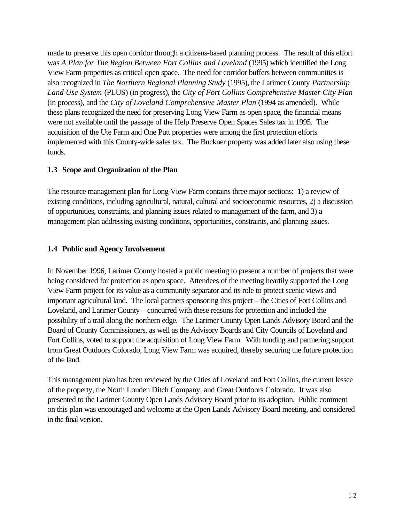made to preserve this open corridor through a citizens-based planning process. The result of this effort was *A Plan for The Region Between Fort Collins and Loveland* (1995) which identified the Long View Farm properties as critical open space. The need for corridor buffers between communities is also recognized in *The Northern Regional Planning Study* (1995), the Larimer County *Partnership Land Use System* (PLUS) (in progress), the *City of Fort Collins Comprehensive Master City Plan* (in process), and the *City of Loveland Comprehensive Master Plan* (1994 as amended). While these plans recognized the need for preserving Long View Farm as open space, the financial means were not available until the passage of the Help Preserve Open Spaces Sales tax in 1995. The acquisition of the Ute Farm and One Putt properties were among the first protection efforts implemented with this County-wide sales tax. The Buckner property was added later also using these funds.

#### **1.3 Scope and Organization of the Plan**

The resource management plan for Long View Farm contains three major sections: 1) a review of existing conditions, including agricultural, natural, cultural and socioeconomic resources, 2) a discussion of opportunities, constraints, and planning issues related to management of the farm, and 3) a management plan addressing existing conditions, opportunities, constraints, and planning issues.

#### **1.4 Public and Agency Involvement**

In November 1996, Larimer County hosted a public meeting to present a number of projects that were being considered for protection as open space. Attendees of the meeting heartily supported the Long View Farm project for its value as a community separator and its role to protect scenic views and important agricultural land. The local partners sponsoring this project – the Cities of Fort Collins and Loveland, and Larimer County – concurred with these reasons for protection and included the possibility of a trail along the northern edge. The Larimer County Open Lands Advisory Board and the Board of County Commissioners, as well as the Advisory Boards and City Councils of Loveland and Fort Collins, voted to support the acquisition of Long View Farm. With funding and partnering support from Great Outdoors Colorado, Long View Farm was acquired, thereby securing the future protection of the land.

This management plan has been reviewed by the Cities of Loveland and Fort Collins, the current lessee of the property, the North Louden Ditch Company, and Great Outdoors Colorado. It was also presented to the Larimer County Open Lands Advisory Board prior to its adoption. Public comment on this plan was encouraged and welcome at the Open Lands Advisory Board meeting, and considered in the final version.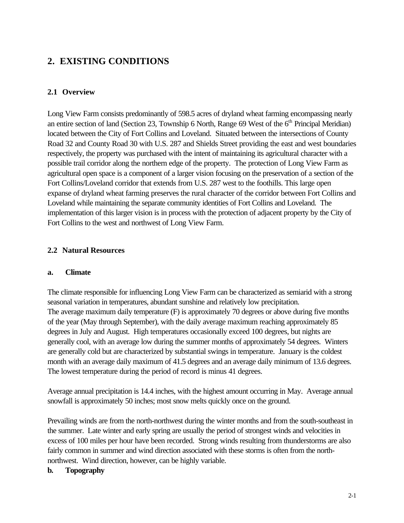### **2. EXISTING CONDITIONS**

#### **2.1 Overview**

Long View Farm consists predominantly of 598.5 acres of dryland wheat farming encompassing nearly an entire section of land (Section 23, Township 6 North, Range 69 West of the  $6<sup>th</sup>$  Principal Meridian) located between the City of Fort Collins and Loveland. Situated between the intersections of County Road 32 and County Road 30 with U.S. 287 and Shields Street providing the east and west boundaries respectively, the property was purchased with the intent of maintaining its agricultural character with a possible trail corridor along the northern edge of the property. The protection of Long View Farm as agricultural open space is a component of a larger vision focusing on the preservation of a section of the Fort Collins/Loveland corridor that extends from U.S. 287 west to the foothills. This large open expanse of dryland wheat farming preserves the rural character of the corridor between Fort Collins and Loveland while maintaining the separate community identities of Fort Collins and Loveland. The implementation of this larger vision is in process with the protection of adjacent property by the City of Fort Collins to the west and northwest of Long View Farm.

#### **2.2 Natural Resources**

#### **a. Climate**

The climate responsible for influencing Long View Farm can be characterized as semiarid with a strong seasonal variation in temperatures, abundant sunshine and relatively low precipitation. The average maximum daily temperature (F) is approximately 70 degrees or above during five months of the year (May through September), with the daily average maximum reaching approximately 85 degrees in July and August. High temperatures occasionally exceed 100 degrees, but nights are generally cool, with an average low during the summer months of approximately 54 degrees. Winters are generally cold but are characterized by substantial swings in temperature. January is the coldest month with an average daily maximum of 41.5 degrees and an average daily minimum of 13.6 degrees. The lowest temperature during the period of record is minus 41 degrees.

Average annual precipitation is 14.4 inches, with the highest amount occurring in May. Average annual snowfall is approximately 50 inches; most snow melts quickly once on the ground.

Prevailing winds are from the north-northwest during the winter months and from the south-southeast in the summer. Late winter and early spring are usually the period of strongest winds and velocities in excess of 100 miles per hour have been recorded. Strong winds resulting from thunderstorms are also fairly common in summer and wind direction associated with these storms is often from the northnorthwest. Wind direction, however, can be highly variable.

#### **b. Topography**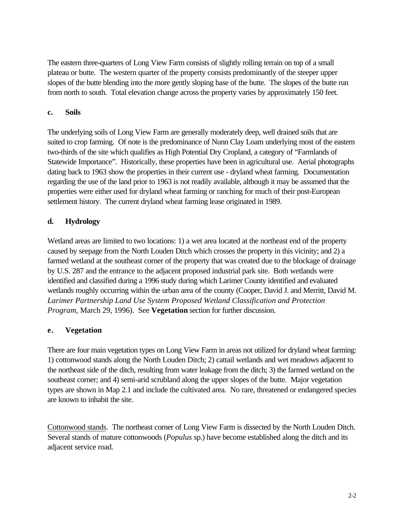The eastern three-quarters of Long View Farm consists of slightly rolling terrain on top of a small plateau or butte. The western quarter of the property consists predominantly of the steeper upper slopes of the butte blending into the more gently sloping base of the butte. The slopes of the butte run from north to south. Total elevation change across the property varies by approximately 150 feet.

#### **c. Soils**

The underlying soils of Long View Farm are generally moderately deep, well drained soils that are suited to crop farming. Of note is the predominance of Nunn Clay Loam underlying most of the eastern two-thirds of the site which qualifies as High Potential Dry Cropland, a category of "Farmlands of Statewide Importance". Historically, these properties have been in agricultural use. Aerial photographs dating back to 1963 show the properties in their current use - dryland wheat farming. Documentation regarding the use of the land prior to 1963 is not readily available, although it may be assumed that the properties were either used for dryland wheat farming or ranching for much of their post-European settlement history. The current dryland wheat farming lease originated in 1989.

#### **d. Hydrology**

Wetland areas are limited to two locations: 1) a wet area located at the northeast end of the property caused by seepage from the North Louden Ditch which crosses the property in this vicinity; and 2) a farmed wetland at the southeast corner of the property that was created due to the blockage of drainage by U.S. 287 and the entrance to the adjacent proposed industrial park site. Both wetlands were identified and classified during a 1996 study during which Larimer County identified and evaluated wetlands roughly occurring within the urban area of the county (Cooper, David J. and Merritt, David M. *Larimer Partnership Land Use System Proposed Wetland Classification and Protection Program,* March 29, 1996). See **Vegetation** section for further discussion.

#### **e. Vegetation**

There are four main vegetation types on Long View Farm in areas not utilized for dryland wheat farming: 1) cottonwood stands along the North Louden Ditch; 2) cattail wetlands and wet meadows adjacent to the northeast side of the ditch, resulting from water leakage from the ditch; 3) the farmed wetland on the southeast corner; and 4) semi-arid scrubland along the upper slopes of the butte. Major vegetation types are shown in Map 2.1 and include the cultivated area. No rare, threatened or endangered species are known to inhabit the site.

Cottonwood stands. The northeast corner of Long View Farm is dissected by the North Louden Ditch. Several stands of mature cottonwoods (*Populus* sp.) have become established along the ditch and its adjacent service road.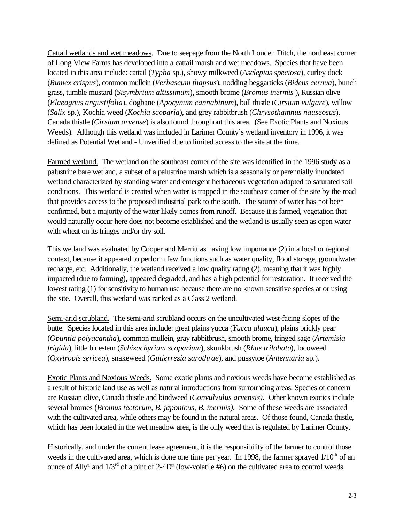Cattail wetlands and wet meadows. Due to seepage from the North Louden Ditch, the northeast corner of Long View Farms has developed into a cattail marsh and wet meadows. Species that have been located in this area include: cattail (*Typha* sp.), showy milkweed (*Asclepias speciosa*), curley dock (*Rumex crispus*), common mullein (*Verbascum thapsus*), nodding beggarticks (*Bidens cernua*), bunch grass, tumble mustard (*Sisymbrium altissimum*), smooth brome (*Bromus inermis* ), Russian olive (*Elaeagnus angustifolia*), dogbane (*Apocynum cannabinum*), bull thistle (*Cirsium vulgare*), willow (*Salix* sp.), Kochia weed (*Kochia scoparia*), and grey rabbitbrush (*Chrysothamnus nauseosus*). Canada thistle (*Cirsium arvense*) is also found throughout this area. (See Exotic Plants and Noxious Weeds). Although this wetland was included in Larimer County's wetland inventory in 1996, it was defined as Potential Wetland - Unverified due to limited access to the site at the time.

Farmed wetland. The wetland on the southeast corner of the site was identified in the 1996 study as a palustrine bare wetland, a subset of a palustrine marsh which is a seasonally or perennially inundated wetland characterized by standing water and emergent herbaceous vegetation adapted to saturated soil conditions. This wetland is created when water is trapped in the southeast corner of the site by the road that provides access to the proposed industrial park to the south. The source of water has not been confirmed, but a majority of the water likely comes from runoff. Because it is farmed, vegetation that would naturally occur here does not become established and the wetland is usually seen as open water with wheat on its fringes and/or dry soil.

This wetland was evaluated by Cooper and Merritt as having low importance (2) in a local or regional context, because it appeared to perform few functions such as water quality, flood storage, groundwater recharge, etc. Additionally, the wetland received a low quality rating (2), meaning that it was highly impacted (due to farming), appeared degraded, and has a high potential for restoration. It received the lowest rating (1) for sensitivity to human use because there are no known sensitive species at or using the site. Overall, this wetland was ranked as a Class 2 wetland.

Semi-arid scrubland. The semi-arid scrubland occurs on the uncultivated west-facing slopes of the butte. Species located in this area include: great plains yucca (*Yucca glauca*), plains prickly pear (*Opuntia polyacantha*), common mullein, gray rabbitbrush, smooth brome, fringed sage (*Artemisia frigida*), little bluestem (*Schizachyrium scoparium*), skunkbrush (*Rhus trilobata*), locoweed (*Oxytropis sericea*), snakeweed (*Gutierrezia sarothrae*), and pussytoe (*Antennaria* sp*.*).

Exotic Plants and Noxious Weeds. Some exotic plants and noxious weeds have become established as a result of historic land use as well as natural introductions from surrounding areas. Species of concern are Russian olive, Canada thistle and bindweed (*Convulvulus arvensis).* Other known exotics include several bromes (*Bromus tectorum, B. japonicus, B. inermis).* Some of these weeds are associated with the cultivated area, while others may be found in the natural areas. Of those found, Canada thistle, which has been located in the wet meadow area, is the only weed that is regulated by Larimer County.

Historically, and under the current lease agreement, it is the responsibility of the farmer to control those weeds in the cultivated area, which is done one time per year. In 1998, the farmer sprayed  $1/10<sup>th</sup>$  of an ounce of Ally<sup>®</sup> and  $1/3<sup>rd</sup>$  of a pint of 2-4D<sup>®</sup> (low-volatile #6) on the cultivated area to control weeds.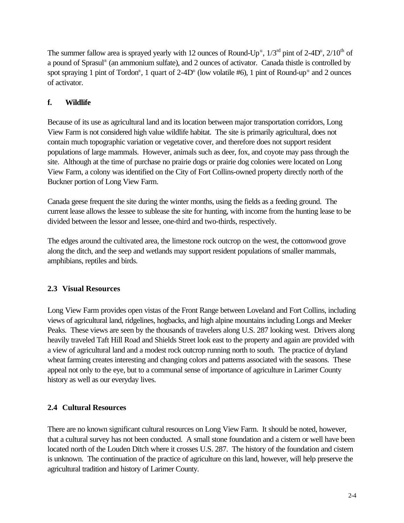The summer fallow area is sprayed yearly with 12 ounces of Round-Up<sup>®</sup>,  $1/3<sup>rd</sup>$  pint of 2-4D<sup>®</sup>,  $2/10<sup>th</sup>$  of a pound of Sprasul® (an ammonium sulfate), and 2 ounces of activator. Canada thistle is controlled by spot spraying 1 pint of Tordon®, 1 quart of 2-4D® (low volatile #6), 1 pint of Round-up® and 2 ounces of activator.

#### **f. Wildlife**

Because of its use as agricultural land and its location between major transportation corridors, Long View Farm is not considered high value wildlife habitat. The site is primarily agricultural, does not contain much topographic variation or vegetative cover, and therefore does not support resident populations of large mammals. However, animals such as deer, fox, and coyote may pass through the site. Although at the time of purchase no prairie dogs or prairie dog colonies were located on Long View Farm, a colony was identified on the City of Fort Collins-owned property directly north of the Buckner portion of Long View Farm.

Canada geese frequent the site during the winter months, using the fields as a feeding ground. The current lease allows the lessee to sublease the site for hunting, with income from the hunting lease to be divided between the lessor and lessee, one-third and two-thirds, respectively.

The edges around the cultivated area, the limestone rock outcrop on the west, the cottonwood grove along the ditch, and the seep and wetlands may support resident populations of smaller mammals, amphibians, reptiles and birds.

#### **2.3 Visual Resources**

Long View Farm provides open vistas of the Front Range between Loveland and Fort Collins, including views of agricultural land, ridgelines, hogbacks, and high alpine mountains including Longs and Meeker Peaks. These views are seen by the thousands of travelers along U.S. 287 looking west. Drivers along heavily traveled Taft Hill Road and Shields Street look east to the property and again are provided with a view of agricultural land and a modest rock outcrop running north to south. The practice of dryland wheat farming creates interesting and changing colors and patterns associated with the seasons. These appeal not only to the eye, but to a communal sense of importance of agriculture in Larimer County history as well as our everyday lives.

#### **2.4 Cultural Resources**

There are no known significant cultural resources on Long View Farm. It should be noted, however, that a cultural survey has not been conducted. A small stone foundation and a cistern or well have been located north of the Louden Ditch where it crosses U.S. 287. The history of the foundation and cistern is unknown. The continuation of the practice of agriculture on this land, however, will help preserve the agricultural tradition and history of Larimer County.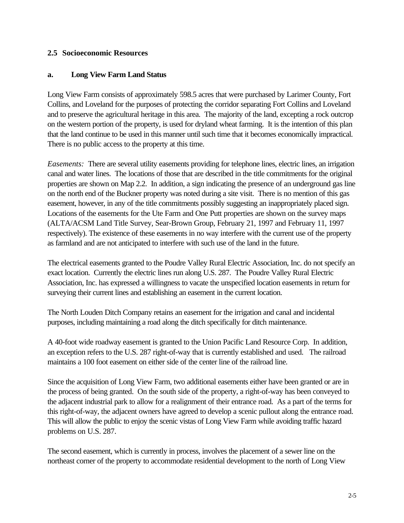#### **2.5 Socioeconomic Resources**

#### **a. Long View Farm Land Status**

Long View Farm consists of approximately 598.5 acres that were purchased by Larimer County, Fort Collins, and Loveland for the purposes of protecting the corridor separating Fort Collins and Loveland and to preserve the agricultural heritage in this area. The majority of the land, excepting a rock outcrop on the western portion of the property, is used for dryland wheat farming. It is the intention of this plan that the land continue to be used in this manner until such time that it becomes economically impractical. There is no public access to the property at this time.

*Easements:* There are several utility easements providing for telephone lines, electric lines, an irrigation canal and water lines. The locations of those that are described in the title commitments for the original properties are shown on Map 2.2. In addition, a sign indicating the presence of an underground gas line on the north end of the Buckner property was noted during a site visit. There is no mention of this gas easement, however, in any of the title commitments possibly suggesting an inappropriately placed sign. Locations of the easements for the Ute Farm and One Putt properties are shown on the survey maps (ALTA/ACSM Land Title Survey, Sear-Brown Group, February 21, 1997 and February 11, 1997 respectively). The existence of these easements in no way interfere with the current use of the property as farmland and are not anticipated to interfere with such use of the land in the future.

The electrical easements granted to the Poudre Valley Rural Electric Association, Inc. do not specify an exact location. Currently the electric lines run along U.S. 287. The Poudre Valley Rural Electric Association, Inc. has expressed a willingness to vacate the unspecified location easements in return for surveying their current lines and establishing an easement in the current location.

The North Louden Ditch Company retains an easement for the irrigation and canal and incidental purposes, including maintaining a road along the ditch specifically for ditch maintenance.

A 40-foot wide roadway easement is granted to the Union Pacific Land Resource Corp. In addition, an exception refers to the U.S. 287 right-of-way that is currently established and used. The railroad maintains a 100 foot easement on either side of the center line of the railroad line.

Since the acquisition of Long View Farm, two additional easements either have been granted or are in the process of being granted. On the south side of the property, a right-of-way has been conveyed to the adjacent industrial park to allow for a realignment of their entrance road. As a part of the terms for this right-of-way, the adjacent owners have agreed to develop a scenic pullout along the entrance road. This will allow the public to enjoy the scenic vistas of Long View Farm while avoiding traffic hazard problems on U.S. 287.

The second easement, which is currently in process, involves the placement of a sewer line on the northeast corner of the property to accommodate residential development to the north of Long View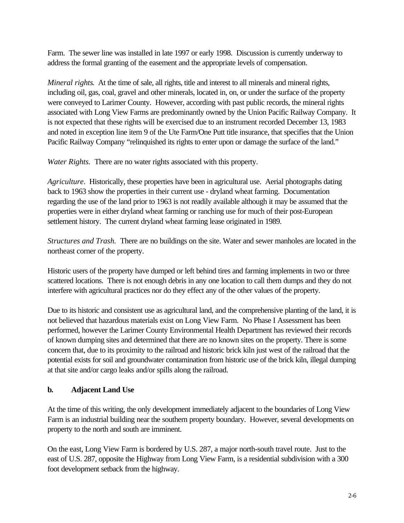Farm. The sewer line was installed in late 1997 or early 1998. Discussion is currently underway to address the formal granting of the easement and the appropriate levels of compensation.

*Mineral rights*. At the time of sale, all rights, title and interest to all minerals and mineral rights, including oil, gas, coal, gravel and other minerals, located in, on, or under the surface of the property were conveyed to Larimer County. However, according with past public records, the mineral rights associated with Long View Farms are predominantly owned by the Union Pacific Railway Company. It is not expected that these rights will be exercised due to an instrument recorded December 13, 1983 and noted in exception line item 9 of the Ute Farm/One Putt title insurance, that specifies that the Union Pacific Railway Company "relinquished its rights to enter upon or damage the surface of the land."

*Water Rights.* There are no water rights associated with this property.

*Agriculture*. Historically, these properties have been in agricultural use. Aerial photographs dating back to 1963 show the properties in their current use - dryland wheat farming. Documentation regarding the use of the land prior to 1963 is not readily available although it may be assumed that the properties were in either dryland wheat farming or ranching use for much of their post-European settlement history. The current dryland wheat farming lease originated in 1989.

*Structures and Trash.* There are no buildings on the site. Water and sewer manholes are located in the northeast corner of the property.

Historic users of the property have dumped or left behind tires and farming implements in two or three scattered locations. There is not enough debris in any one location to call them dumps and they do not interfere with agricultural practices nor do they effect any of the other values of the property.

Due to its historic and consistent use as agricultural land, and the comprehensive planting of the land, it is not believed that hazardous materials exist on Long View Farm. No Phase I Assessment has been performed, however the Larimer County Environmental Health Department has reviewed their records of known dumping sites and determined that there are no known sites on the property. There is some concern that, due to its proximity to the railroad and historic brick kiln just west of the railroad that the potential exists for soil and groundwater contamination from historic use of the brick kiln, illegal dumping at that site and/or cargo leaks and/or spills along the railroad.

#### **b. Adjacent Land Use**

At the time of this writing, the only development immediately adjacent to the boundaries of Long View Farm is an industrial building near the southern property boundary. However, several developments on property to the north and south are imminent.

On the east, Long View Farm is bordered by U.S. 287, a major north-south travel route. Just to the east of U.S. 287, opposite the Highway from Long View Farm, is a residential subdivision with a 300 foot development setback from the highway.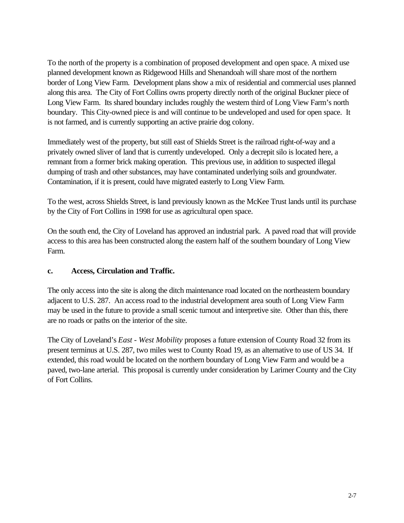To the north of the property is a combination of proposed development and open space. A mixed use planned development known as Ridgewood Hills and Shenandoah will share most of the northern border of Long View Farm. Development plans show a mix of residential and commercial uses planned along this area. The City of Fort Collins owns property directly north of the original Buckner piece of Long View Farm. Its shared boundary includes roughly the western third of Long View Farm's north boundary. This City-owned piece is and will continue to be undeveloped and used for open space. It is not farmed, and is currently supporting an active prairie dog colony.

Immediately west of the property, but still east of Shields Street is the railroad right-of-way and a privately owned sliver of land that is currently undeveloped. Only a decrepit silo is located here, a remnant from a former brick making operation. This previous use, in addition to suspected illegal dumping of trash and other substances, may have contaminated underlying soils and groundwater. Contamination, if it is present, could have migrated easterly to Long View Farm.

To the west, across Shields Street, is land previously known as the McKee Trust lands until its purchase by the City of Fort Collins in 1998 for use as agricultural open space.

On the south end, the City of Loveland has approved an industrial park. A paved road that will provide access to this area has been constructed along the eastern half of the southern boundary of Long View Farm.

#### **c. Access, Circulation and Traffic.**

The only access into the site is along the ditch maintenance road located on the northeastern boundary adjacent to U.S. 287. An access road to the industrial development area south of Long View Farm may be used in the future to provide a small scenic turnout and interpretive site. Other than this, there are no roads or paths on the interior of the site.

The City of Loveland's *East - West Mobility* proposes a future extension of County Road 32 from its present terminus at U.S. 287, two miles west to County Road 19, as an alternative to use of US 34. If extended, this road would be located on the northern boundary of Long View Farm and would be a paved, two-lane arterial. This proposal is currently under consideration by Larimer County and the City of Fort Collins.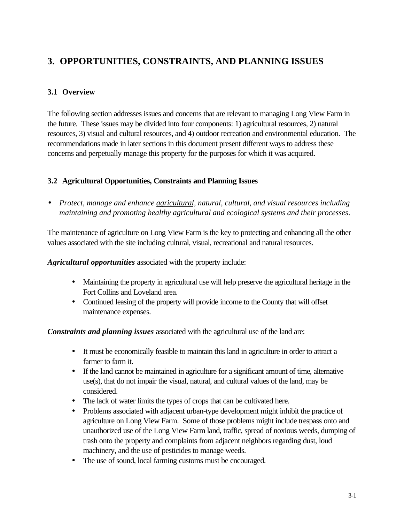## **3. OPPORTUNITIES, CONSTRAINTS, AND PLANNING ISSUES**

#### **3.1 Overview**

The following section addresses issues and concerns that are relevant to managing Long View Farm in the future. These issues may be divided into four components: 1) agricultural resources, 2) natural resources, 3) visual and cultural resources, and 4) outdoor recreation and environmental education. The recommendations made in later sections in this document present different ways to address these concerns and perpetually manage this property for the purposes for which it was acquired.

#### **3.2 Agricultural Opportunities, Constraints and Planning Issues**

• *Protect, manage and enhance agricultural, natural, cultural, and visual resources including maintaining and promoting healthy agricultural and ecological systems and their processes*.

The maintenance of agriculture on Long View Farm is the key to protecting and enhancing all the other values associated with the site including cultural, visual, recreational and natural resources.

*Agricultural opportunities* associated with the property include:

- Maintaining the property in agricultural use will help preserve the agricultural heritage in the Fort Collins and Loveland area.
- Continued leasing of the property will provide income to the County that will offset maintenance expenses.

*Constraints and planning issues* associated with the agricultural use of the land are:

- It must be economically feasible to maintain this land in agriculture in order to attract a farmer to farm it.
- If the land cannot be maintained in agriculture for a significant amount of time, alternative use(s), that do not impair the visual, natural, and cultural values of the land, may be considered.
- The lack of water limits the types of crops that can be cultivated here.
- Problems associated with adjacent urban-type development might inhibit the practice of agriculture on Long View Farm. Some of those problems might include trespass onto and unauthorized use of the Long View Farm land, traffic, spread of noxious weeds, dumping of trash onto the property and complaints from adjacent neighbors regarding dust, loud machinery, and the use of pesticides to manage weeds.
- The use of sound, local farming customs must be encouraged.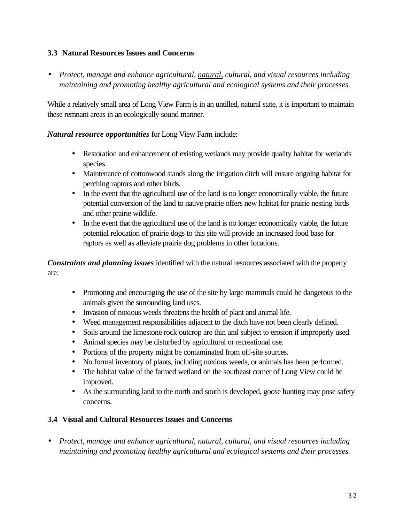#### **3.3 Natural Resources Issues and Concerns**

• *Protect, manage and enhance agricultural, natural, cultural, and visual resources including maintaining and promoting healthy agricultural and ecological systems and their processes.*

While a relatively small area of Long View Farm is in an untilled, natural state, it is important to maintain these remnant areas in an ecologically sound manner.

*Natural resource opportunities* for Long View Farm include:

- Restoration and enhancement of existing wetlands may provide quality habitat for wetlands species.
- Maintenance of cottonwood stands along the irrigation ditch will ensure ongoing habitat for perching raptors and other birds.
- In the event that the agricultural use of the land is no longer economically viable, the future potential conversion of the land to native prairie offers new habitat for prairie nesting birds and other prairie wildlife.
- In the event that the agricultural use of the land is no longer economically viable, the future potential relocation of prairie dogs to this site will provide an increased food base for raptors as well as alleviate prairie dog problems in other locations.

*Constraints and planning issues* identified with the natural resources associated with the property are:

- Promoting and encouraging the use of the site by large mammals could be dangerous to the animals given the surrounding land uses.
- Invasion of noxious weeds threatens the health of plant and animal life.
- Weed management responsibilities adjacent to the ditch have not been clearly defined.
- Soils around the limestone rock outcrop are thin and subject to erosion if improperly used.
- Animal species may be disturbed by agricultural or recreational use.
- Portions of the property might be contaminated from off-site sources.
- No formal inventory of plants, including noxious weeds, or animals has been performed.
- The habitat value of the farmed wetland on the southeast corner of Long View could be improved.
- As the surrounding land to the north and south is developed, goose hunting may pose safety concerns.

#### **3.4 Visual and Cultural Resources Issues and Concerns**

• *Protect, manage and enhance agricultural, natural, cultural, and visual resources including maintaining and promoting healthy agricultural and ecological systems and their processes.*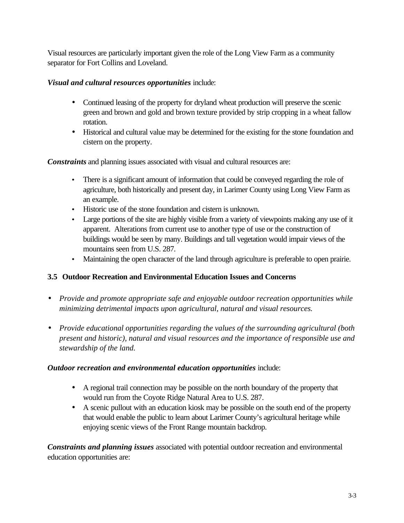Visual resources are particularly important given the role of the Long View Farm as a community separator for Fort Collins and Loveland.

#### *Visual and cultural resources opportunities* include:

- Continued leasing of the property for dryland wheat production will preserve the scenic green and brown and gold and brown texture provided by strip cropping in a wheat fallow rotation.
- Historical and cultural value may be determined for the existing for the stone foundation and cistern on the property.

*Constraints* and planning issues associated with visual and cultural resources are:

- There is a significant amount of information that could be conveyed regarding the role of agriculture, both historically and present day, in Larimer County using Long View Farm as an example.
- Historic use of the stone foundation and cistern is unknown.
- Large portions of the site are highly visible from a variety of viewpoints making any use of it apparent. Alterations from current use to another type of use or the construction of buildings would be seen by many. Buildings and tall vegetation would impair views of the mountains seen from U.S. 287.
- Maintaining the open character of the land through agriculture is preferable to open prairie.

#### **3.5 Outdoor Recreation and Environmental Education Issues and Concerns**

- *Provide and promote appropriate safe and enjoyable outdoor recreation opportunities while minimizing detrimental impacts upon agricultural, natural and visual resources.*
- *Provide educational opportunities regarding the values of the surrounding agricultural (both present and historic), natural and visual resources and the importance of responsible use and stewardship of the land.*

#### *Outdoor recreation and environmental education opportunities* include:

- A regional trail connection may be possible on the north boundary of the property that would run from the Coyote Ridge Natural Area to U.S. 287.
- A scenic pullout with an education kiosk may be possible on the south end of the property that would enable the public to learn about Larimer County's agricultural heritage while enjoying scenic views of the Front Range mountain backdrop.

*Constraints and planning issues* associated with potential outdoor recreation and environmental education opportunities are: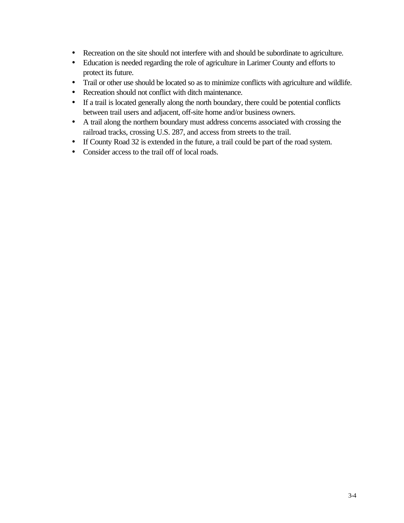- Recreation on the site should not interfere with and should be subordinate to agriculture.
- Education is needed regarding the role of agriculture in Larimer County and efforts to protect its future.
- Trail or other use should be located so as to minimize conflicts with agriculture and wildlife.
- Recreation should not conflict with ditch maintenance.
- If a trail is located generally along the north boundary, there could be potential conflicts between trail users and adjacent, off-site home and/or business owners.
- A trail along the northern boundary must address concerns associated with crossing the railroad tracks, crossing U.S. 287, and access from streets to the trail.
- If County Road 32 is extended in the future, a trail could be part of the road system.
- Consider access to the trail off of local roads.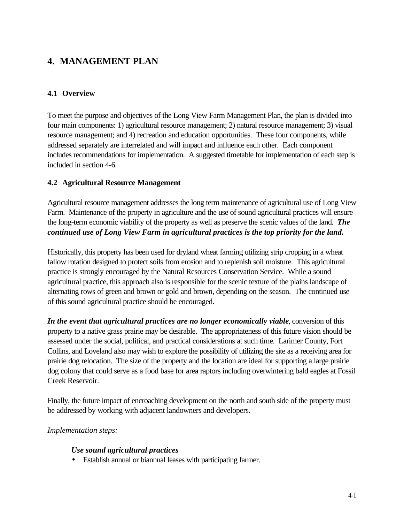### **4. MANAGEMENT PLAN**

#### **4.1 Overview**

To meet the purpose and objectives of the Long View Farm Management Plan, the plan is divided into four main components: 1) agricultural resource management; 2) natural resource management; 3) visual resource management; and 4) recreation and education opportunities. These four components, while addressed separately are interrelated and will impact and influence each other. Each component includes recommendations for implementation. A suggested timetable for implementation of each step is included in section 4-6.

#### **4.2 Agricultural Resource Management**

Agricultural resource management addresses the long term maintenance of agricultural use of Long View Farm. Maintenance of the property in agriculture and the use of sound agricultural practices will ensure the long-term economic viability of the property as well as preserve the scenic values of the land. *The continued use of Long View Farm in agricultural practices is the top priority for the land.*

Historically, this property has been used for dryland wheat farming utilizing strip cropping in a wheat fallow rotation designed to protect soils from erosion and to replenish soil moisture. This agricultural practice is strongly encouraged by the Natural Resources Conservation Service. While a sound agricultural practice, this approach also is responsible for the scenic texture of the plains landscape of alternating rows of green and brown or gold and brown, depending on the season. The continued use of this sound agricultural practice should be encouraged.

*In the event that agricultural practices are no longer economically viable*, conversion of this property to a native grass prairie may be desirable. The appropriateness of this future vision should be assessed under the social, political, and practical considerations at such time. Larimer County, Fort Collins, and Loveland also may wish to explore the possibility of utilizing the site as a receiving area for prairie dog relocation. The size of the property and the location are ideal for supporting a large prairie dog colony that could serve as a food base for area raptors including overwintering bald eagles at Fossil Creek Reservoir.

Finally, the future impact of encroaching development on the north and south side of the property must be addressed by working with adjacent landowners and developers.

#### *Implementation steps:*

#### *Use sound agricultural practices*

• Establish annual or biannual leases with participating farmer.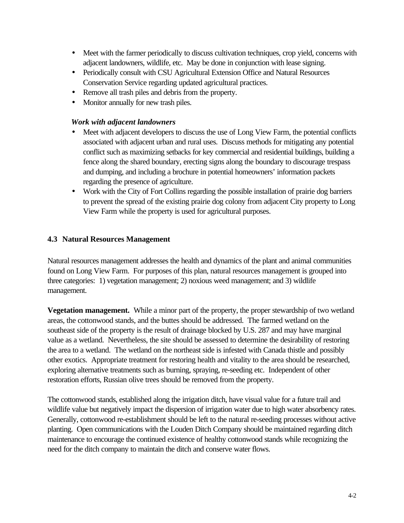- Meet with the farmer periodically to discuss cultivation techniques, crop yield, concerns with adjacent landowners, wildlife, etc. May be done in conjunction with lease signing.
- Periodically consult with CSU Agricultural Extension Office and Natural Resources Conservation Service regarding updated agricultural practices.
- Remove all trash piles and debris from the property.
- Monitor annually for new trash piles.

#### *Work with adjacent landowners*

- Meet with adjacent developers to discuss the use of Long View Farm, the potential conflicts associated with adjacent urban and rural uses. Discuss methods for mitigating any potential conflict such as maximizing setbacks for key commercial and residential buildings, building a fence along the shared boundary, erecting signs along the boundary to discourage trespass and dumping, and including a brochure in potential homeowners' information packets regarding the presence of agriculture.
- Work with the City of Fort Collins regarding the possible installation of prairie dog barriers to prevent the spread of the existing prairie dog colony from adjacent City property to Long View Farm while the property is used for agricultural purposes.

#### **4.3 Natural Resources Management**

Natural resources management addresses the health and dynamics of the plant and animal communities found on Long View Farm. For purposes of this plan, natural resources management is grouped into three categories: 1) vegetation management; 2) noxious weed management; and 3) wildlife management.

**Vegetation management.** While a minor part of the property, the proper stewardship of two wetland areas, the cottonwood stands, and the buttes should be addressed. The farmed wetland on the southeast side of the property is the result of drainage blocked by U.S. 287 and may have marginal value as a wetland. Nevertheless, the site should be assessed to determine the desirability of restoring the area to a wetland. The wetland on the northeast side is infested with Canada thistle and possibly other exotics. Appropriate treatment for restoring health and vitality to the area should be researched, exploring alternative treatments such as burning, spraying, re-seeding etc. Independent of other restoration efforts, Russian olive trees should be removed from the property.

The cottonwood stands, established along the irrigation ditch, have visual value for a future trail and wildlife value but negatively impact the dispersion of irrigation water due to high water absorbency rates. Generally, cottonwood re-establishment should be left to the natural re-seeding processes without active planting. Open communications with the Louden Ditch Company should be maintained regarding ditch maintenance to encourage the continued existence of healthy cottonwood stands while recognizing the need for the ditch company to maintain the ditch and conserve water flows.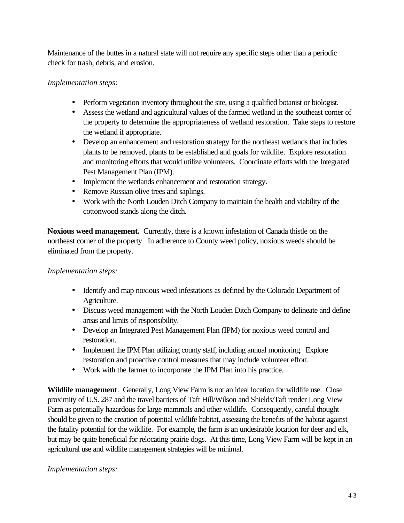Maintenance of the buttes in a natural state will not require any specific steps other than a periodic check for trash, debris, and erosion.

#### *Implementation steps*:

- Perform vegetation inventory throughout the site, using a qualified botanist or biologist.
- Assess the wetland and agricultural values of the farmed wetland in the southeast corner of the property to determine the appropriateness of wetland restoration. Take steps to restore the wetland if appropriate.
- Develop an enhancement and restoration strategy for the northeast wetlands that includes plants to be removed, plants to be established and goals for wildlife. Explore restoration and monitoring efforts that would utilize volunteers. Coordinate efforts with the Integrated Pest Management Plan (IPM).
- Implement the wetlands enhancement and restoration strategy.
- Remove Russian olive trees and saplings.
- Work with the North Louden Ditch Company to maintain the health and viability of the cottonwood stands along the ditch.

**Noxious weed management.** Currently, there is a known infestation of Canada thistle on the northeast corner of the property. In adherence to County weed policy, noxious weeds should be eliminated from the property.

#### *Implementation steps:*

- Identify and map noxious weed infestations as defined by the Colorado Department of Agriculture.
- Discuss weed management with the North Louden Ditch Company to delineate and define areas and limits of responsibility.
- Develop an Integrated Pest Management Plan (IPM) for noxious weed control and restoration.
- Implement the IPM Plan utilizing county staff, including annual monitoring. Explore restoration and proactive control measures that may include volunteer effort.
- Work with the farmer to incorporate the IPM Plan into his practice.

**Wildlife management**. Generally, Long View Farm is not an ideal location for wildlife use. Close proximity of U.S. 287 and the travel barriers of Taft Hill/Wilson and Shields/Taft render Long View Farm as potentially hazardous for large mammals and other wildlife. Consequently, careful thought should be given to the creation of potential wildlife habitat, assessing the benefits of the habitat against the fatality potential for the wildlife. For example, the farm is an undesirable location for deer and elk, but may be quite beneficial for relocating prairie dogs. At this time, Long View Farm will be kept in an agricultural use and wildlife management strategies will be minimal.

#### *Implementation steps:*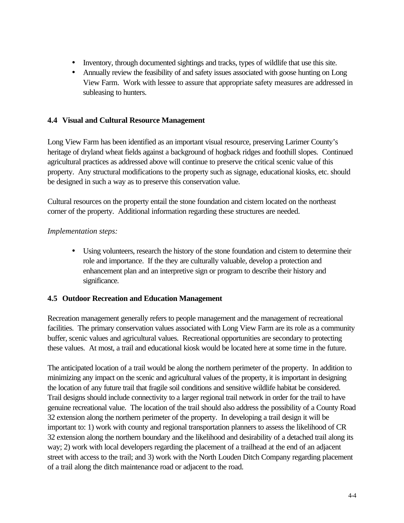- Inventory, through documented sightings and tracks, types of wildlife that use this site.
- Annually review the feasibility of and safety issues associated with goose hunting on Long View Farm. Work with lessee to assure that appropriate safety measures are addressed in subleasing to hunters.

#### **4.4 Visual and Cultural Resource Management**

Long View Farm has been identified as an important visual resource, preserving Larimer County's heritage of dryland wheat fields against a background of hogback ridges and foothill slopes. Continued agricultural practices as addressed above will continue to preserve the critical scenic value of this property. Any structural modifications to the property such as signage, educational kiosks, etc. should be designed in such a way as to preserve this conservation value.

Cultural resources on the property entail the stone foundation and cistern located on the northeast corner of the property. Additional information regarding these structures are needed.

#### *Implementation steps:*

• Using volunteers, research the history of the stone foundation and cistern to determine their role and importance. If the they are culturally valuable, develop a protection and enhancement plan and an interpretive sign or program to describe their history and significance.

#### **4.5 Outdoor Recreation and Education Management**

Recreation management generally refers to people management and the management of recreational facilities. The primary conservation values associated with Long View Farm are its role as a community buffer, scenic values and agricultural values. Recreational opportunities are secondary to protecting these values. At most, a trail and educational kiosk would be located here at some time in the future.

The anticipated location of a trail would be along the northern perimeter of the property. In addition to minimizing any impact on the scenic and agricultural values of the property, it is important in designing the location of any future trail that fragile soil conditions and sensitive wildlife habitat be considered. Trail designs should include connectivity to a larger regional trail network in order for the trail to have genuine recreational value. The location of the trail should also address the possibility of a County Road 32 extension along the northern perimeter of the property. In developing a trail design it will be important to: 1) work with county and regional transportation planners to assess the likelihood of CR 32 extension along the northern boundary and the likelihood and desirability of a detached trail along its way; 2) work with local developers regarding the placement of a trailhead at the end of an adjacent street with access to the trail; and 3) work with the North Louden Ditch Company regarding placement of a trail along the ditch maintenance road or adjacent to the road.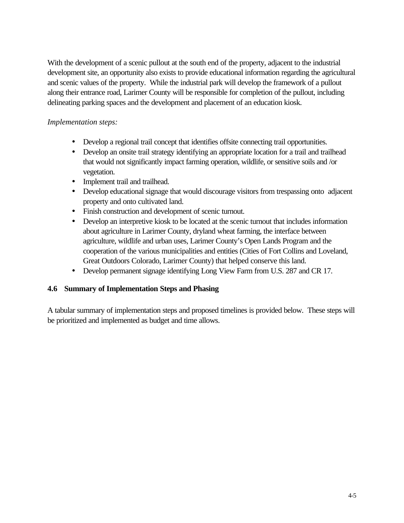With the development of a scenic pullout at the south end of the property, adjacent to the industrial development site, an opportunity also exists to provide educational information regarding the agricultural and scenic values of the property. While the industrial park will develop the framework of a pullout along their entrance road, Larimer County will be responsible for completion of the pullout, including delineating parking spaces and the development and placement of an education kiosk.

#### *Implementation steps:*

- Develop a regional trail concept that identifies offsite connecting trail opportunities.
- Develop an onsite trail strategy identifying an appropriate location for a trail and trailhead that would not significantly impact farming operation, wildlife, or sensitive soils and /or vegetation.
- Implement trail and trailhead.
- Develop educational signage that would discourage visitors from trespassing onto adjacent property and onto cultivated land.
- Finish construction and development of scenic turnout.
- Develop an interpretive kiosk to be located at the scenic turnout that includes information about agriculture in Larimer County, dryland wheat farming, the interface between agriculture, wildlife and urban uses, Larimer County's Open Lands Program and the cooperation of the various municipalities and entities (Cities of Fort Collins and Loveland, Great Outdoors Colorado, Larimer County) that helped conserve this land.
- Develop permanent signage identifying Long View Farm from U.S. 287 and CR 17.

#### **4.6 Summary of Implementation Steps and Phasing**

A tabular summary of implementation steps and proposed timelines is provided below. These steps will be prioritized and implemented as budget and time allows.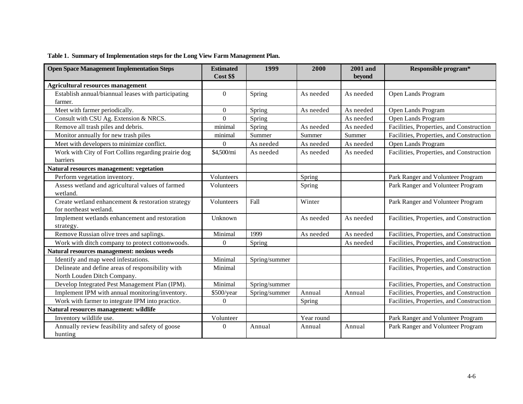| <b>Open Space Management Implementation Steps</b>    | <b>Estimated</b> | 1999          | 2000       | <b>2001</b> and | Responsible program*                     |
|------------------------------------------------------|------------------|---------------|------------|-----------------|------------------------------------------|
|                                                      | Cost \$\$        |               |            | beyond          |                                          |
| <b>Agricultural resources management</b>             |                  |               |            |                 |                                          |
| Establish annual/biannual leases with participating  | $\Omega$         | Spring        | As needed  | As needed       | Open Lands Program                       |
| farmer.                                              |                  |               |            |                 |                                          |
| Meet with farmer periodically.                       | $\mathbf{0}$     | Spring        | As needed  | As needed       | Open Lands Program                       |
| Consult with CSU Ag. Extension & NRCS.               | $\overline{0}$   | Spring        |            | As needed       | Open Lands Program                       |
| Remove all trash piles and debris.                   | minimal          | Spring        | As needed  | As needed       | Facilities, Properties, and Construction |
| Monitor annually for new trash piles                 | minimal          | Summer        | Summer     | Summer          | Facilities, Properties, and Construction |
| Meet with developers to minimize conflict.           | $\Omega$         | As needed     | As needed  | As needed       | Open Lands Program                       |
| Work with City of Fort Collins regarding prairie dog | \$4,500/mi       | As needed     | As needed  | As needed       | Facilities, Properties, and Construction |
| barriers                                             |                  |               |            |                 |                                          |
| Natural resources management: vegetation             |                  |               |            |                 |                                          |
| Perform vegetation inventory.                        | Volunteers       |               | Spring     |                 | Park Ranger and Volunteer Program        |
| Assess wetland and agricultural values of farmed     | Volunteers       |               | Spring     |                 | Park Ranger and Volunteer Program        |
| wetland.                                             |                  |               |            |                 |                                          |
| Create wetland enhancement & restoration strategy    | Volunteers       | Fall          | Winter     |                 | Park Ranger and Volunteer Program        |
| for northeast wetland.                               |                  |               |            |                 |                                          |
| Implement wetlands enhancement and restoration       | Unknown          |               | As needed  | As needed       | Facilities, Properties, and Construction |
| strategy.                                            |                  |               |            |                 |                                          |
| Remove Russian olive trees and saplings.             | Minimal          | 1999          | As needed  | As needed       | Facilities, Properties, and Construction |
| Work with ditch company to protect cottonwoods.      | $\Omega$         | Spring        |            | As needed       | Facilities, Properties, and Construction |
| Natural resources management: noxious weeds          |                  |               |            |                 |                                          |
| Identify and map weed infestations.                  | Minimal          | Spring/summer |            |                 | Facilities, Properties, and Construction |
| Delineate and define areas of responsibility with    | Minimal          |               |            |                 | Facilities, Properties, and Construction |
| North Louden Ditch Company.                          |                  |               |            |                 |                                          |
| Develop Integrated Pest Management Plan (IPM).       | Minimal          | Spring/summer |            |                 | Facilities, Properties, and Construction |
| Implement IPM with annual monitoring/inventory.      | \$500/year       | Spring/summer | Annual     | Annual          | Facilities, Properties, and Construction |
| Work with farmer to integrate IPM into practice.     | $\Omega$         |               | Spring     |                 | Facilities, Properties, and Construction |
| Natural resources management: wildlife               |                  |               |            |                 |                                          |
| Inventory wildlife use.                              | Volunteer        |               | Year round |                 | Park Ranger and Volunteer Program        |
| Annually review feasibility and safety of goose      | $\Omega$         | Annual        | Annual     | Annual          | Park Ranger and Volunteer Program        |
| hunting                                              |                  |               |            |                 |                                          |

#### **Table 1. Summary of Implementation steps for the Long View Farm Management Plan.**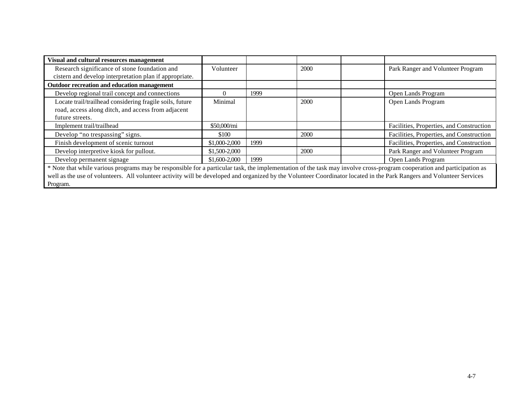| Visual and cultural resources management                                                                                                                               |               |      |      |  |                                          |  |  |
|------------------------------------------------------------------------------------------------------------------------------------------------------------------------|---------------|------|------|--|------------------------------------------|--|--|
| Research significance of stone foundation and                                                                                                                          | Volunteer     |      | 2000 |  | Park Ranger and Volunteer Program        |  |  |
| cistern and develop interpretation plan if appropriate.                                                                                                                |               |      |      |  |                                          |  |  |
| <b>Outdoor recreation and education management</b>                                                                                                                     |               |      |      |  |                                          |  |  |
| Develop regional trail concept and connections                                                                                                                         |               | 1999 |      |  | Open Lands Program                       |  |  |
| Locate trail/trailhead considering fragile soils, future                                                                                                               | Minimal       |      | 2000 |  | Open Lands Program                       |  |  |
| road, access along ditch, and access from adjacent                                                                                                                     |               |      |      |  |                                          |  |  |
| future streets.                                                                                                                                                        |               |      |      |  |                                          |  |  |
| Implement trail/trailhead                                                                                                                                              | \$50,000/mi   |      |      |  | Facilities, Properties, and Construction |  |  |
| Develop "no trespassing" signs.                                                                                                                                        | \$100         |      | 2000 |  | Facilities, Properties, and Construction |  |  |
| Finish development of scenic turnout                                                                                                                                   | \$1,000-2,000 | 1999 |      |  | Facilities, Properties, and Construction |  |  |
| Develop interpretive kiosk for pullout.                                                                                                                                | \$1,500-2,000 |      | 2000 |  | Park Ranger and Volunteer Program        |  |  |
| Develop permanent signage                                                                                                                                              | \$1,600-2,000 | 1999 |      |  | Open Lands Program                       |  |  |
| * Note that while various programs may be responsible for a particular task, the implementation of the task may involve cross-program cooperation and participation as |               |      |      |  |                                          |  |  |
| well as the use of volunteers. All volunteer activity will be developed and organized by the Volunteer Coordinator located in the Park Rangers and Volunteer Services  |               |      |      |  |                                          |  |  |

Program.